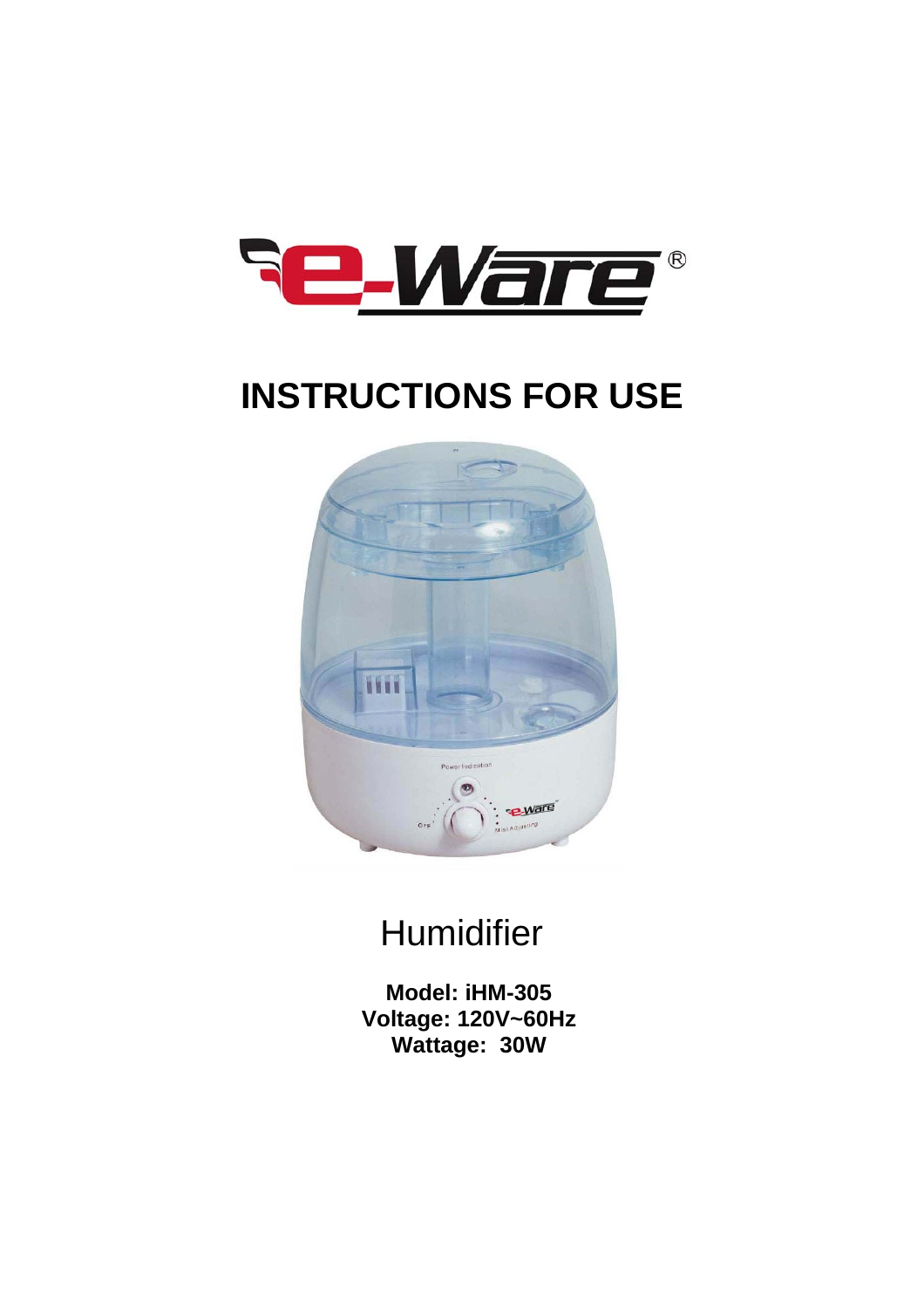

# **INSTRUCTIONS FOR USE**



# **Humidifier**

**Model: iHM-305 Voltage: 120V~60Hz Wattage: 30W**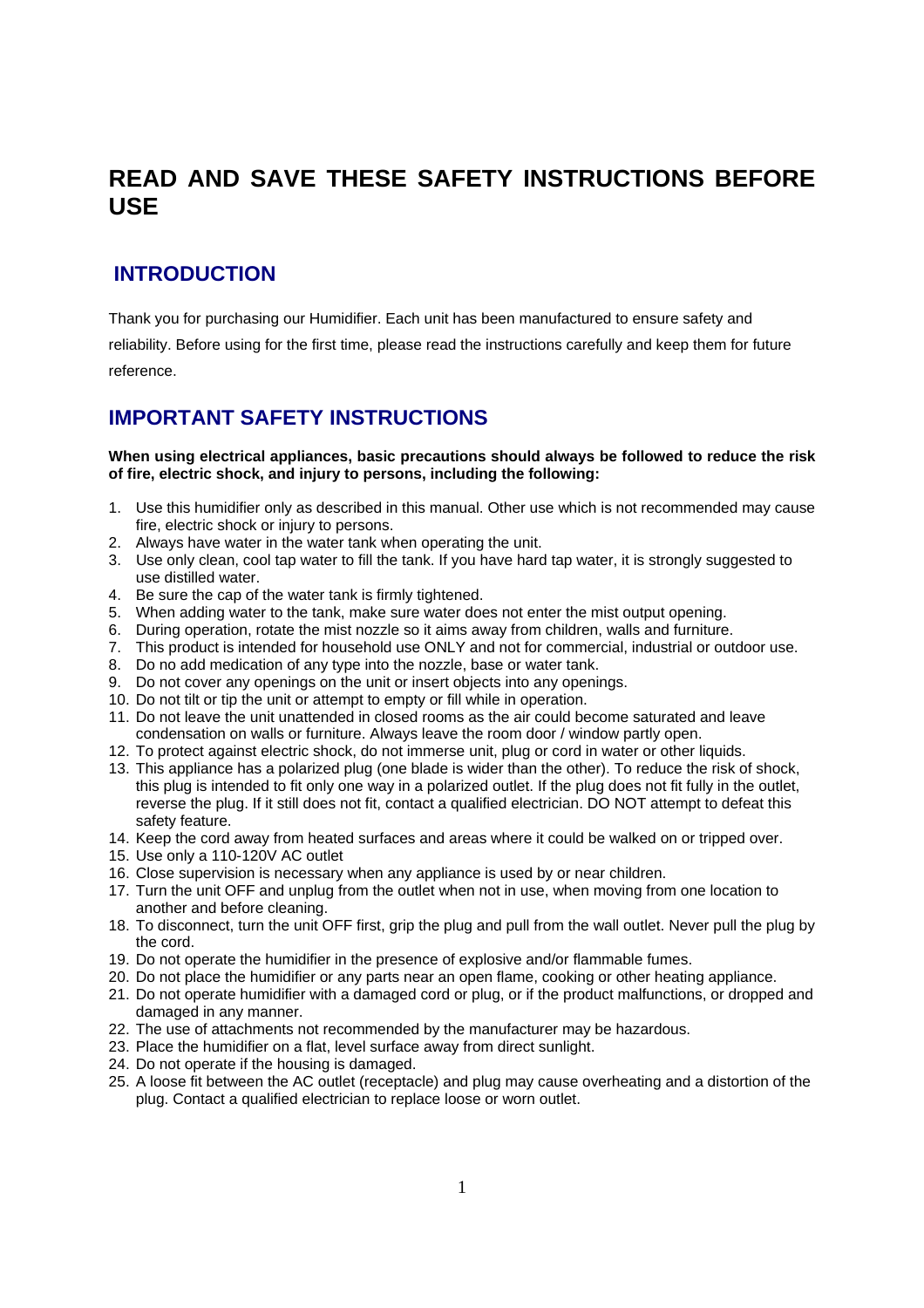# **READ AND SAVE THESE SAFETY INSTRUCTIONS BEFORE USE**

## **INTRODUCTION**

Thank you for purchasing our Humidifier. Each unit has been manufactured to ensure safety and

reliability. Before using for the first time, please read the instructions carefully and keep them for future reference.

## **IMPORTANT SAFETY INSTRUCTIONS**

#### **When using electrical appliances, basic precautions should always be followed to reduce the risk of fire, electric shock, and injury to persons, including the following:**

- 1. Use this humidifier only as described in this manual. Other use which is not recommended may cause fire, electric shock or injury to persons.
- 2. Always have water in the water tank when operating the unit.
- 3. Use only clean, cool tap water to fill the tank. If you have hard tap water, it is strongly suggested to use distilled water.
- 4. Be sure the cap of the water tank is firmly tightened.
- 5. When adding water to the tank, make sure water does not enter the mist output opening.
- 6. During operation, rotate the mist nozzle so it aims away from children, walls and furniture.
- 7. This product is intended for household use ONLY and not for commercial, industrial or outdoor use.
- 8. Do no add medication of any type into the nozzle, base or water tank.
- 9. Do not cover any openings on the unit or insert objects into any openings.
- 10. Do not tilt or tip the unit or attempt to empty or fill while in operation.
- 11. Do not leave the unit unattended in closed rooms as the air could become saturated and leave condensation on walls or furniture. Always leave the room door / window partly open.
- 12. To protect against electric shock, do not immerse unit, plug or cord in water or other liquids.
- 13. This appliance has a polarized plug (one blade is wider than the other). To reduce the risk of shock, this plug is intended to fit only one way in a polarized outlet. If the plug does not fit fully in the outlet, reverse the plug. If it still does not fit, contact a qualified electrician. DO NOT attempt to defeat this safety feature.
- 14. Keep the cord away from heated surfaces and areas where it could be walked on or tripped over.
- 15. Use only a 110-120V AC outlet
- 16. Close supervision is necessary when any appliance is used by or near children.
- 17. Turn the unit OFF and unplug from the outlet when not in use, when moving from one location to another and before cleaning.
- 18. To disconnect, turn the unit OFF first, grip the plug and pull from the wall outlet. Never pull the plug by the cord.
- 19. Do not operate the humidifier in the presence of explosive and/or flammable fumes.
- 20. Do not place the humidifier or any parts near an open flame, cooking or other heating appliance.
- 21. Do not operate humidifier with a damaged cord or plug, or if the product malfunctions, or dropped and damaged in any manner.
- 22. The use of attachments not recommended by the manufacturer may be hazardous.
- 23. Place the humidifier on a flat, level surface away from direct sunlight.
- 24. Do not operate if the housing is damaged.
- 25. A loose fit between the AC outlet (receptacle) and plug may cause overheating and a distortion of the plug. Contact a qualified electrician to replace loose or worn outlet.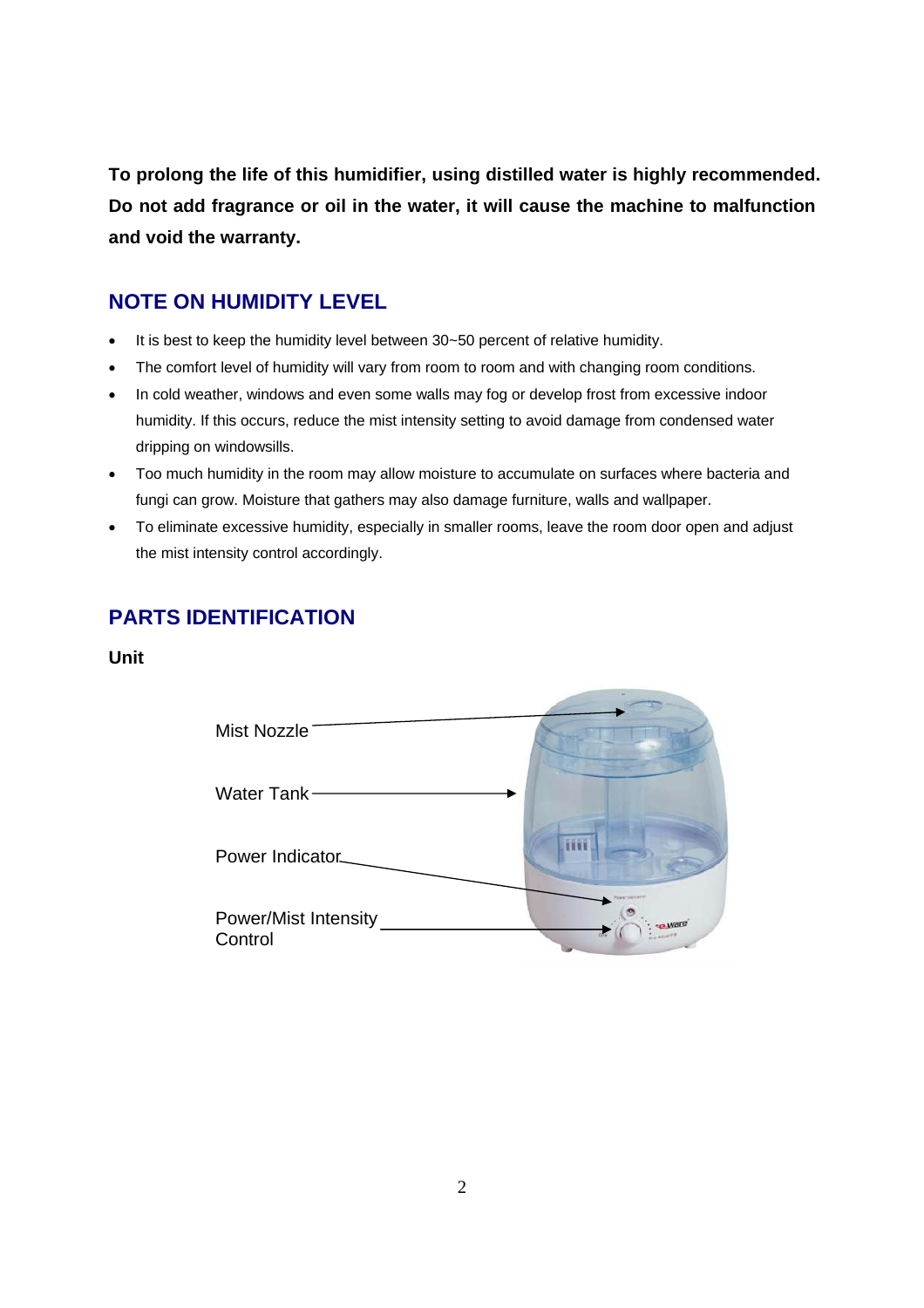**To prolong the life of this humidifier, using distilled water is highly recommended. Do not add fragrance or oil in the water, it will cause the machine to malfunction and void the warranty.** 

## **NOTE ON HUMIDITY LEVEL**

- It is best to keep the humidity level between 30~50 percent of relative humidity.
- The comfort level of humidity will vary from room to room and with changing room conditions.
- In cold weather, windows and even some walls may fog or develop frost from excessive indoor humidity. If this occurs, reduce the mist intensity setting to avoid damage from condensed water dripping on windowsills.
- Too much humidity in the room may allow moisture to accumulate on surfaces where bacteria and fungi can grow. Moisture that gathers may also damage furniture, walls and wallpaper.
- To eliminate excessive humidity, especially in smaller rooms, leave the room door open and adjust the mist intensity control accordingly.

## **PARTS IDENTIFICATION**

## **Unit**

| Mist Nozzle                            |  |
|----------------------------------------|--|
| Water Tank $-$                         |  |
| Power Indicator                        |  |
| <b>Power/Mist Intensity</b><br>Control |  |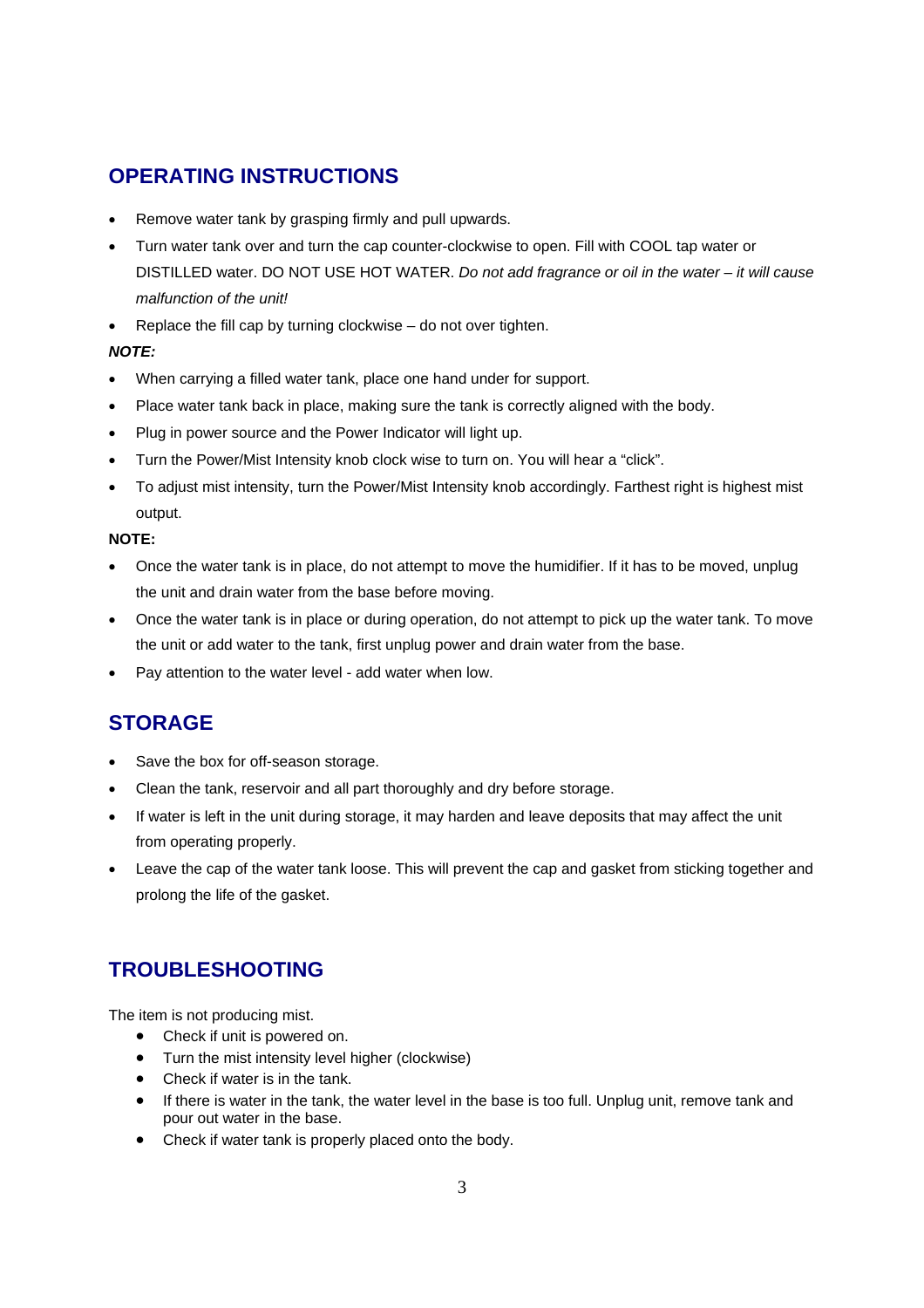## **OPERATING INSTRUCTIONS**

- Remove water tank by grasping firmly and pull upwards.
- Turn water tank over and turn the cap counter-clockwise to open. Fill with COOL tap water or DISTILLED water. DO NOT USE HOT WATER. *Do not add fragrance or oil in the water – it will cause malfunction of the unit!*
- Replace the fill cap by turning clockwise do not over tighten.

### *NOTE:*

- When carrying a filled water tank, place one hand under for support.
- Place water tank back in place, making sure the tank is correctly aligned with the body.
- Plug in power source and the Power Indicator will light up.
- Turn the Power/Mist Intensity knob clock wise to turn on. You will hear a "click".
- To adjust mist intensity, turn the Power/Mist Intensity knob accordingly. Farthest right is highest mist output.

### **NOTE:**

- Once the water tank is in place, do not attempt to move the humidifier. If it has to be moved, unplug the unit and drain water from the base before moving.
- Once the water tank is in place or during operation, do not attempt to pick up the water tank. To move the unit or add water to the tank, first unplug power and drain water from the base.
- Pay attention to the water level add water when low.

## **STORAGE**

- Save the box for off-season storage.
- Clean the tank, reservoir and all part thoroughly and dry before storage.
- If water is left in the unit during storage, it may harden and leave deposits that may affect the unit from operating properly.
- Leave the cap of the water tank loose. This will prevent the cap and gasket from sticking together and prolong the life of the gasket.

## **TROUBLESHOOTING**

The item is not producing mist.

- Check if unit is powered on.
- Turn the mist intensity level higher (clockwise)
- Check if water is in the tank.
- If there is water in the tank, the water level in the base is too full. Unplug unit, remove tank and pour out water in the base.
- Check if water tank is properly placed onto the body.